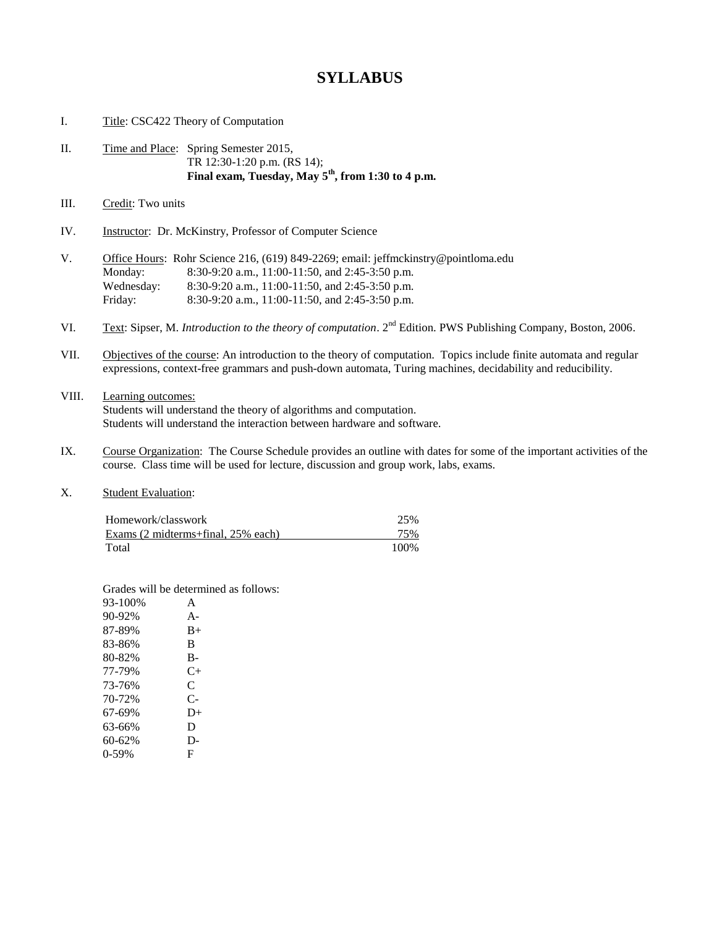## **SYLLABUS**

|      | Title: CSC422 Theory of Computation |                                                                                                                                        |  |
|------|-------------------------------------|----------------------------------------------------------------------------------------------------------------------------------------|--|
| П.   |                                     | Time and Place: Spring Semester 2015,<br>TR 12:30-1:20 p.m. (RS 14);<br>Final exam, Tuesday, May 5 <sup>th</sup> , from 1:30 to 4 p.m. |  |
| III. | Credit: Two units                   |                                                                                                                                        |  |

IV. Instructor: Dr. McKinstry, Professor of Computer Science

| V |            | Office Hours: Rohr Science 216, (619) 849-2269; email: jeffmckinstry@pointloma.edu |
|---|------------|------------------------------------------------------------------------------------|
|   | Monday:    | 8:30-9:20 a.m., 11:00-11:50, and 2:45-3:50 p.m.                                    |
|   | Wednesday: | 8:30-9:20 a.m., 11:00-11:50, and 2:45-3:50 p.m.                                    |
|   | Friday:    | 8:30-9:20 a.m., 11:00-11:50, and 2:45-3:50 p.m.                                    |

- VI. Text: Sipser, M. *Introduction to the theory of computation*. 2<sup>nd</sup> Edition. PWS Publishing Company, Boston, 2006.
- VII. Objectives of the course: An introduction to the theory of computation. Topics include finite automata and regular expressions, context-free grammars and push-down automata, Turing machines, decidability and reducibility.
- VIII. Learning outcomes: Students will understand the theory of algorithms and computation. Students will understand the interaction between hardware and software.
- IX. Course Organization: The Course Schedule provides an outline with dates for some of the important activities of the course. Class time will be used for lecture, discussion and group work, labs, exams.
- X. Student Evaluation:

| Homework/classwork                 | 25%   |
|------------------------------------|-------|
| Exams (2 midterms+final, 25% each) | 75%   |
| Total                              | 100\% |

Grades will be determined as follows:

| 93-100% | A     |
|---------|-------|
| 90-92%  | $A -$ |
| 87-89%  | $B+$  |
| 83-86%  | B     |
| 80-82%  | B-    |
| 77-79%  | $C+$  |
| 73-76%  | C     |
| 70-72%  | C-    |
| 67-69%  | $D+$  |
| 63-66%  | D     |
| 60-62%  | $D -$ |
| 0-59%   | F     |